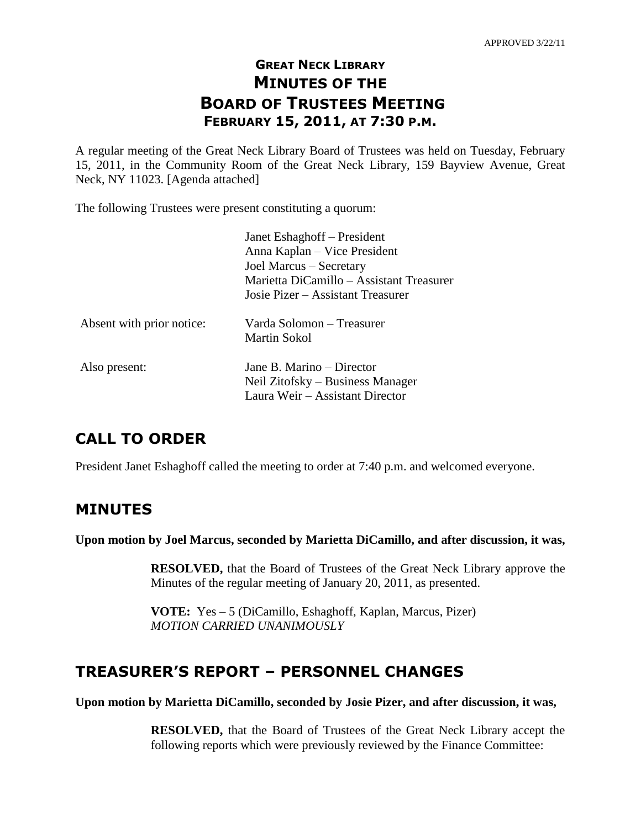# **GREAT NECK LIBRARY MINUTES OF THE BOARD OF TRUSTEES MEETING FEBRUARY 15, 2011, AT 7:30 P.M.**

A regular meeting of the Great Neck Library Board of Trustees was held on Tuesday, February 15, 2011, in the Community Room of the Great Neck Library, 159 Bayview Avenue, Great Neck, NY 11023. [Agenda attached]

The following Trustees were present constituting a quorum:

|                           | Janet Eshaghoff – President<br>Anna Kaplan – Vice President<br>Joel Marcus – Secretary<br>Marietta DiCamillo – Assistant Treasurer<br>Josie Pizer – Assistant Treasurer |
|---------------------------|-------------------------------------------------------------------------------------------------------------------------------------------------------------------------|
| Absent with prior notice: | Varda Solomon – Treasurer<br>Martin Sokol                                                                                                                               |
| Also present:             | Jane B. Marino – Director<br>Neil Zitofsky – Business Manager<br>Laura Weir – Assistant Director                                                                        |

# **CALL TO ORDER**

President Janet Eshaghoff called the meeting to order at 7:40 p.m. and welcomed everyone.

## **MINUTES**

**Upon motion by Joel Marcus, seconded by Marietta DiCamillo, and after discussion, it was,**

**RESOLVED,** that the Board of Trustees of the Great Neck Library approve the Minutes of the regular meeting of January 20, 2011, as presented.

**VOTE:** Yes – 5 (DiCamillo, Eshaghoff, Kaplan, Marcus, Pizer) *MOTION CARRIED UNANIMOUSLY*

# **TREASURER'S REPORT – PERSONNEL CHANGES**

**Upon motion by Marietta DiCamillo, seconded by Josie Pizer, and after discussion, it was,**

**RESOLVED,** that the Board of Trustees of the Great Neck Library accept the following reports which were previously reviewed by the Finance Committee: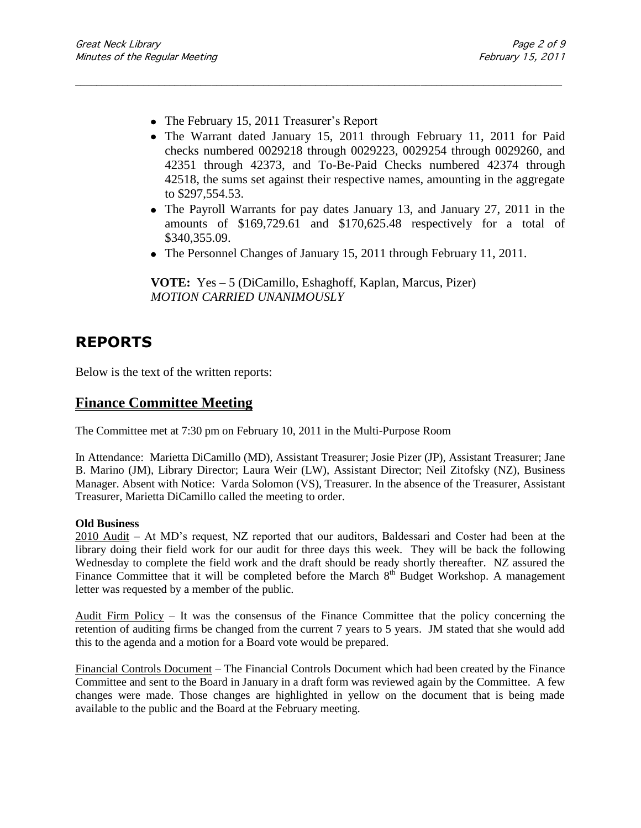- The February 15, 2011 Treasurer's Report
- The Warrant dated January 15, 2011 through February 11, 2011 for Paid checks numbered 0029218 through 0029223, 0029254 through 0029260, and 42351 through 42373, and To-Be-Paid Checks numbered 42374 through 42518, the sums set against their respective names, amounting in the aggregate to \$297,554.53.
- The Payroll Warrants for pay dates January 13, and January 27, 2011 in the amounts of \$169,729.61 and \$170,625.48 respectively for a total of \$340,355.09.
- The Personnel Changes of January 15, 2011 through February 11, 2011.

**VOTE:** Yes – 5 (DiCamillo, Eshaghoff, Kaplan, Marcus, Pizer) *MOTION CARRIED UNANIMOUSLY*

\_\_\_\_\_\_\_\_\_\_\_\_\_\_\_\_\_\_\_\_\_\_\_\_\_\_\_\_\_\_\_\_\_\_\_\_\_\_\_\_\_\_\_\_\_\_\_\_\_\_\_\_\_\_\_\_\_\_\_\_\_\_\_\_\_\_\_\_\_\_\_\_\_\_\_\_\_\_\_\_\_\_\_\_\_\_\_\_\_\_\_\_\_

## **REPORTS**

Below is the text of the written reports:

### **Finance Committee Meeting**

The Committee met at 7:30 pm on February 10, 2011 in the Multi-Purpose Room

In Attendance:Marietta DiCamillo (MD), Assistant Treasurer; Josie Pizer (JP), Assistant Treasurer; Jane B. Marino (JM), Library Director; Laura Weir (LW), Assistant Director; Neil Zitofsky (NZ), Business Manager. Absent with Notice:Varda Solomon (VS), Treasurer. In the absence of the Treasurer, Assistant Treasurer, Marietta DiCamillo called the meeting to order.

#### **Old Business**

2010 Audit – At MD's request, NZ reported that our auditors, Baldessari and Coster had been at the library doing their field work for our audit for three days this week. They will be back the following Wednesday to complete the field work and the draft should be ready shortly thereafter. NZ assured the Finance Committee that it will be completed before the March  $8<sup>th</sup>$  Budget Workshop. A management letter was requested by a member of the public.

Audit Firm Policy – It was the consensus of the Finance Committee that the policy concerning the retention of auditing firms be changed from the current 7 years to 5 years. JM stated that she would add this to the agenda and a motion for a Board vote would be prepared.

Financial Controls Document – The Financial Controls Document which had been created by the Finance Committee and sent to the Board in January in a draft form was reviewed again by the Committee. A few changes were made. Those changes are highlighted in yellow on the document that is being made available to the public and the Board at the February meeting.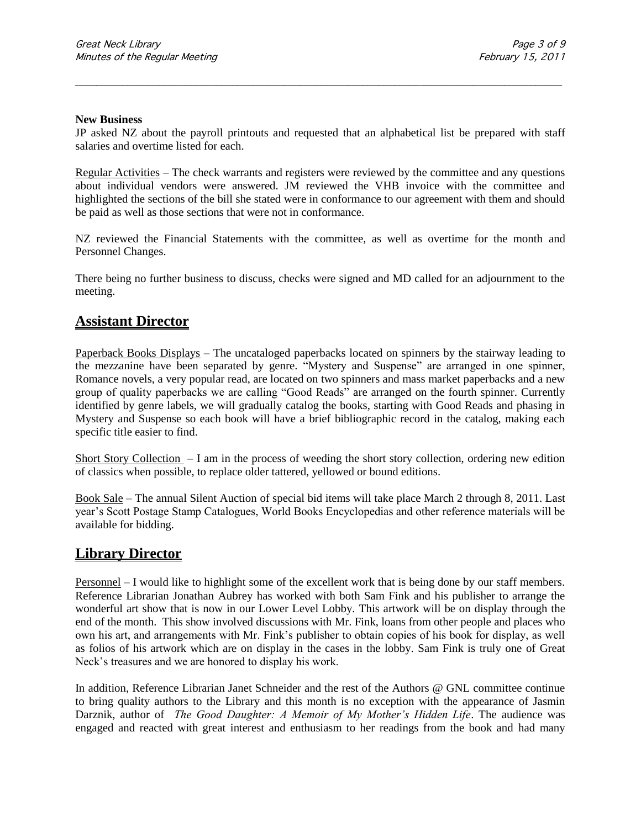#### **New Business**

JP asked NZ about the payroll printouts and requested that an alphabetical list be prepared with staff salaries and overtime listed for each.

\_\_\_\_\_\_\_\_\_\_\_\_\_\_\_\_\_\_\_\_\_\_\_\_\_\_\_\_\_\_\_\_\_\_\_\_\_\_\_\_\_\_\_\_\_\_\_\_\_\_\_\_\_\_\_\_\_\_\_\_\_\_\_\_\_\_\_\_\_\_\_\_\_\_\_\_\_\_\_\_\_\_\_\_\_\_\_\_\_\_\_\_\_

Regular Activities – The check warrants and registers were reviewed by the committee and any questions about individual vendors were answered. JM reviewed the VHB invoice with the committee and highlighted the sections of the bill she stated were in conformance to our agreement with them and should be paid as well as those sections that were not in conformance.

NZ reviewed the Financial Statements with the committee, as well as overtime for the month and Personnel Changes.

There being no further business to discuss, checks were signed and MD called for an adjournment to the meeting.

### **Assistant Director**

Paperback Books Displays – The uncataloged paperbacks located on spinners by the stairway leading to the mezzanine have been separated by genre. "Mystery and Suspense" are arranged in one spinner, Romance novels, a very popular read, are located on two spinners and mass market paperbacks and a new group of quality paperbacks we are calling "Good Reads" are arranged on the fourth spinner. Currently identified by genre labels, we will gradually catalog the books, starting with Good Reads and phasing in Mystery and Suspense so each book will have a brief bibliographic record in the catalog, making each specific title easier to find.

Short Story Collection  $-1$  am in the process of weeding the short story collection, ordering new edition of classics when possible, to replace older tattered, yellowed or bound editions.

Book Sale – The annual Silent Auction of special bid items will take place March 2 through 8, 2011. Last year's Scott Postage Stamp Catalogues, World Books Encyclopedias and other reference materials will be available for bidding.

### **Library Director**

Personnel – I would like to highlight some of the excellent work that is being done by our staff members. Reference Librarian Jonathan Aubrey has worked with both Sam Fink and his publisher to arrange the wonderful art show that is now in our Lower Level Lobby. This artwork will be on display through the end of the month. This show involved discussions with Mr. Fink, loans from other people and places who own his art, and arrangements with Mr. Fink's publisher to obtain copies of his book for display, as well as folios of his artwork which are on display in the cases in the lobby. Sam Fink is truly one of Great Neck's treasures and we are honored to display his work.

In addition, Reference Librarian Janet Schneider and the rest of the Authors @ GNL committee continue to bring quality authors to the Library and this month is no exception with the appearance of Jasmin Darznik, author of *The Good Daughter: A Memoir of My Mother's Hidden Life*. The audience was engaged and reacted with great interest and enthusiasm to her readings from the book and had many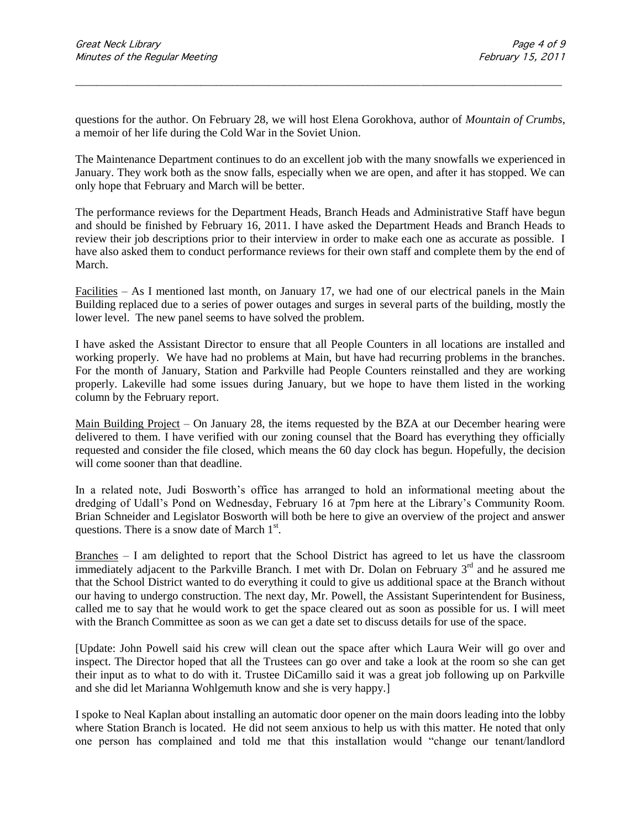questions for the author. On February 28, we will host Elena Gorokhova, author of *Mountain of Crumbs*, a memoir of her life during the Cold War in the Soviet Union.

\_\_\_\_\_\_\_\_\_\_\_\_\_\_\_\_\_\_\_\_\_\_\_\_\_\_\_\_\_\_\_\_\_\_\_\_\_\_\_\_\_\_\_\_\_\_\_\_\_\_\_\_\_\_\_\_\_\_\_\_\_\_\_\_\_\_\_\_\_\_\_\_\_\_\_\_\_\_\_\_\_\_\_\_\_\_\_\_\_\_\_\_\_

The Maintenance Department continues to do an excellent job with the many snowfalls we experienced in January. They work both as the snow falls, especially when we are open, and after it has stopped. We can only hope that February and March will be better.

The performance reviews for the Department Heads, Branch Heads and Administrative Staff have begun and should be finished by February 16, 2011. I have asked the Department Heads and Branch Heads to review their job descriptions prior to their interview in order to make each one as accurate as possible. I have also asked them to conduct performance reviews for their own staff and complete them by the end of March.

Facilities – As I mentioned last month, on January 17, we had one of our electrical panels in the Main Building replaced due to a series of power outages and surges in several parts of the building, mostly the lower level. The new panel seems to have solved the problem.

I have asked the Assistant Director to ensure that all People Counters in all locations are installed and working properly. We have had no problems at Main, but have had recurring problems in the branches. For the month of January, Station and Parkville had People Counters reinstalled and they are working properly. Lakeville had some issues during January, but we hope to have them listed in the working column by the February report.

Main Building Project – On January 28, the items requested by the BZA at our December hearing were delivered to them. I have verified with our zoning counsel that the Board has everything they officially requested and consider the file closed, which means the 60 day clock has begun. Hopefully, the decision will come sooner than that deadline.

In a related note, Judi Bosworth's office has arranged to hold an informational meeting about the dredging of Udall's Pond on Wednesday, February 16 at 7pm here at the Library's Community Room. Brian Schneider and Legislator Bosworth will both be here to give an overview of the project and answer questions. There is a snow date of March  $1<sup>st</sup>$ .

Branches – I am delighted to report that the School District has agreed to let us have the classroom immediately adjacent to the Parkville Branch. I met with Dr. Dolan on February 3<sup>rd</sup> and he assured me that the School District wanted to do everything it could to give us additional space at the Branch without our having to undergo construction. The next day, Mr. Powell, the Assistant Superintendent for Business, called me to say that he would work to get the space cleared out as soon as possible for us. I will meet with the Branch Committee as soon as we can get a date set to discuss details for use of the space.

[Update: John Powell said his crew will clean out the space after which Laura Weir will go over and inspect. The Director hoped that all the Trustees can go over and take a look at the room so she can get their input as to what to do with it. Trustee DiCamillo said it was a great job following up on Parkville and she did let Marianna Wohlgemuth know and she is very happy.]

I spoke to Neal Kaplan about installing an automatic door opener on the main doors leading into the lobby where Station Branch is located. He did not seem anxious to help us with this matter. He noted that only one person has complained and told me that this installation would "change our tenant/landlord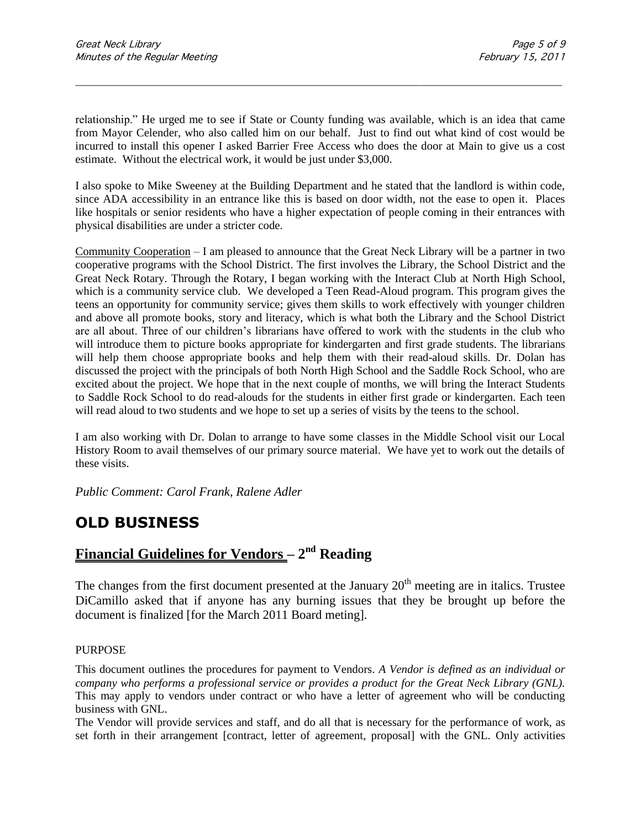relationship." He urged me to see if State or County funding was available, which is an idea that came from Mayor Celender, who also called him on our behalf. Just to find out what kind of cost would be incurred to install this opener I asked Barrier Free Access who does the door at Main to give us a cost estimate. Without the electrical work, it would be just under \$3,000.

\_\_\_\_\_\_\_\_\_\_\_\_\_\_\_\_\_\_\_\_\_\_\_\_\_\_\_\_\_\_\_\_\_\_\_\_\_\_\_\_\_\_\_\_\_\_\_\_\_\_\_\_\_\_\_\_\_\_\_\_\_\_\_\_\_\_\_\_\_\_\_\_\_\_\_\_\_\_\_\_\_\_\_\_\_\_\_\_\_\_\_\_\_

I also spoke to Mike Sweeney at the Building Department and he stated that the landlord is within code, since ADA accessibility in an entrance like this is based on door width, not the ease to open it. Places like hospitals or senior residents who have a higher expectation of people coming in their entrances with physical disabilities are under a stricter code.

Community Cooperation – I am pleased to announce that the Great Neck Library will be a partner in two cooperative programs with the School District. The first involves the Library, the School District and the Great Neck Rotary. Through the Rotary, I began working with the Interact Club at North High School, which is a community service club. We developed a Teen Read-Aloud program. This program gives the teens an opportunity for community service; gives them skills to work effectively with younger children and above all promote books, story and literacy, which is what both the Library and the School District are all about. Three of our children's librarians have offered to work with the students in the club who will introduce them to picture books appropriate for kindergarten and first grade students. The librarians will help them choose appropriate books and help them with their read-aloud skills. Dr. Dolan has discussed the project with the principals of both North High School and the Saddle Rock School, who are excited about the project. We hope that in the next couple of months, we will bring the Interact Students to Saddle Rock School to do read-alouds for the students in either first grade or kindergarten. Each teen will read aloud to two students and we hope to set up a series of visits by the teens to the school.

I am also working with Dr. Dolan to arrange to have some classes in the Middle School visit our Local History Room to avail themselves of our primary source material. We have yet to work out the details of these visits.

*Public Comment: Carol Frank, Ralene Adler*

# **OLD BUSINESS**

## **Financial Guidelines for Vendors – 2 nd Reading**

The changes from the first document presented at the January  $20<sup>th</sup>$  meeting are in italics. Trustee DiCamillo asked that if anyone has any burning issues that they be brought up before the document is finalized [for the March 2011 Board meting].

### PURPOSE

This document outlines the procedures for payment to Vendors. *A Vendor is defined as an individual or company who performs a professional service or provides a product for the Great Neck Library (GNL).* This may apply to vendors under contract or who have a letter of agreement who will be conducting business with GNL.

The Vendor will provide services and staff, and do all that is necessary for the performance of work, as set forth in their arrangement [contract, letter of agreement, proposal] with the GNL. Only activities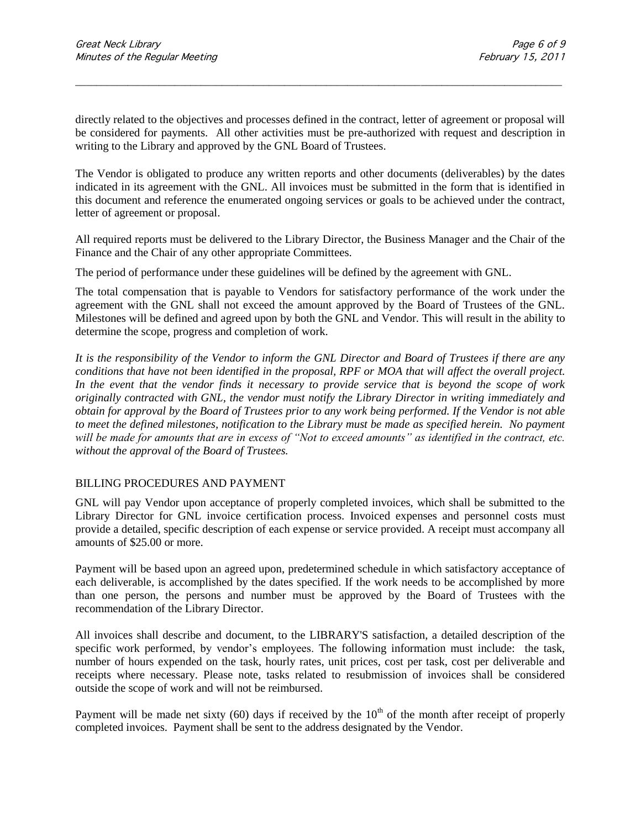directly related to the objectives and processes defined in the contract, letter of agreement or proposal will be considered for payments. All other activities must be pre-authorized with request and description in writing to the Library and approved by the GNL Board of Trustees.

\_\_\_\_\_\_\_\_\_\_\_\_\_\_\_\_\_\_\_\_\_\_\_\_\_\_\_\_\_\_\_\_\_\_\_\_\_\_\_\_\_\_\_\_\_\_\_\_\_\_\_\_\_\_\_\_\_\_\_\_\_\_\_\_\_\_\_\_\_\_\_\_\_\_\_\_\_\_\_\_\_\_\_\_\_\_\_\_\_\_\_\_\_

The Vendor is obligated to produce any written reports and other documents (deliverables) by the dates indicated in its agreement with the GNL. All invoices must be submitted in the form that is identified in this document and reference the enumerated ongoing services or goals to be achieved under the contract, letter of agreement or proposal.

All required reports must be delivered to the Library Director, the Business Manager and the Chair of the Finance and the Chair of any other appropriate Committees.

The period of performance under these guidelines will be defined by the agreement with GNL.

The total compensation that is payable to Vendors for satisfactory performance of the work under the agreement with the GNL shall not exceed the amount approved by the Board of Trustees of the GNL. Milestones will be defined and agreed upon by both the GNL and Vendor. This will result in the ability to determine the scope, progress and completion of work.

*It is the responsibility of the Vendor to inform the GNL Director and Board of Trustees if there are any conditions that have not been identified in the proposal, RPF or MOA that will affect the overall project. In the event that the vendor finds it necessary to provide service that is beyond the scope of work originally contracted with GNL, the vendor must notify the Library Director in writing immediately and obtain for approval by the Board of Trustees prior to any work being performed. If the Vendor is not able to meet the defined milestones, notification to the Library must be made as specified herein. No payment*  will be made for amounts that are in excess of "Not to exceed amounts" as identified in the contract, etc. *without the approval of the Board of Trustees.* 

### BILLING PROCEDURES AND PAYMENT

GNL will pay Vendor upon acceptance of properly completed invoices, which shall be submitted to the Library Director for GNL invoice certification process. Invoiced expenses and personnel costs must provide a detailed, specific description of each expense or service provided. A receipt must accompany all amounts of \$25.00 or more.

Payment will be based upon an agreed upon, predetermined schedule in which satisfactory acceptance of each deliverable, is accomplished by the dates specified. If the work needs to be accomplished by more than one person, the persons and number must be approved by the Board of Trustees with the recommendation of the Library Director.

All invoices shall describe and document, to the LIBRARY'S satisfaction, a detailed description of the specific work performed, by vendor's employees. The following information must include: the task, number of hours expended on the task, hourly rates, unit prices, cost per task, cost per deliverable and receipts where necessary. Please note, tasks related to resubmission of invoices shall be considered outside the scope of work and will not be reimbursed.

Payment will be made net sixty (60) days if received by the  $10<sup>th</sup>$  of the month after receipt of properly completed invoices. Payment shall be sent to the address designated by the Vendor.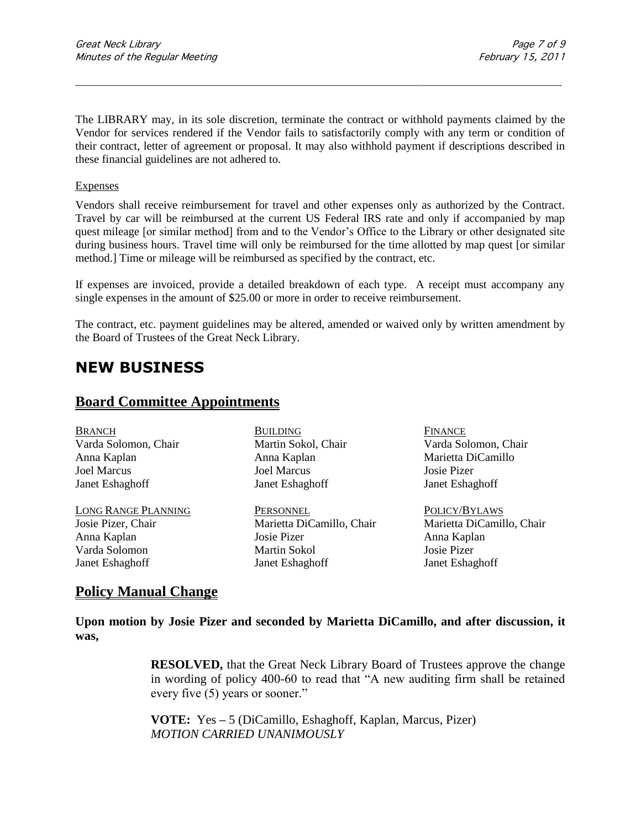The LIBRARY may, in its sole discretion, terminate the contract or withhold payments claimed by the Vendor for services rendered if the Vendor fails to satisfactorily comply with any term or condition of their contract, letter of agreement or proposal. It may also withhold payment if descriptions described in these financial guidelines are not adhered to.

\_\_\_\_\_\_\_\_\_\_\_\_\_\_\_\_\_\_\_\_\_\_\_\_\_\_\_\_\_\_\_\_\_\_\_\_\_\_\_\_\_\_\_\_\_\_\_\_\_\_\_\_\_\_\_\_\_\_\_\_\_\_\_\_\_\_\_\_\_\_\_\_\_\_\_\_\_\_\_\_\_\_\_\_\_\_\_\_\_\_\_\_\_

### Expenses

Vendors shall receive reimbursement for travel and other expenses only as authorized by the Contract. Travel by car will be reimbursed at the current US Federal IRS rate and only if accompanied by map quest mileage [or similar method] from and to the Vendor's Office to the Library or other designated site during business hours. Travel time will only be reimbursed for the time allotted by map quest [or similar method.] Time or mileage will be reimbursed as specified by the contract, etc.

If expenses are invoiced, provide a detailed breakdown of each type. A receipt must accompany any single expenses in the amount of \$25.00 or more in order to receive reimbursement.

The contract, etc. payment guidelines may be altered, amended or waived only by written amendment by the Board of Trustees of the Great Neck Library.

# **NEW BUSINESS**

### **Board Committee Appointments**

BRANCH BUILDING FINANCE Varda Solomon, Chair Martin Sokol, Chair Varda Solomon, Chair Anna Kaplan Anna Kaplan Marietta DiCamillo Joel Marcus Joel Marcus Josie Pizer Janet Eshaghoff Janet Eshaghoff Janet Eshaghoff LONG RANGE PLANNING PERSONNEL POLICY/BYLAWS Josie Pizer, Chair Marietta DiCamillo, Chair Marietta DiCamillo, Chair Anna Kaplan Josie Pizer Anna Kaplan Varda Solomon Martin Sokol Josie Pizer Janet Eshaghoff Janet Eshaghoff Janet Eshaghoff

# **Policy Manual Change**

**Upon motion by Josie Pizer and seconded by Marietta DiCamillo, and after discussion, it was,**

> **RESOLVED,** that the Great Neck Library Board of Trustees approve the change in wording of policy 400-60 to read that "A new auditing firm shall be retained every five (5) years or sooner."

**VOTE:** Yes **–** 5 (DiCamillo, Eshaghoff, Kaplan, Marcus, Pizer) *MOTION CARRIED UNANIMOUSLY*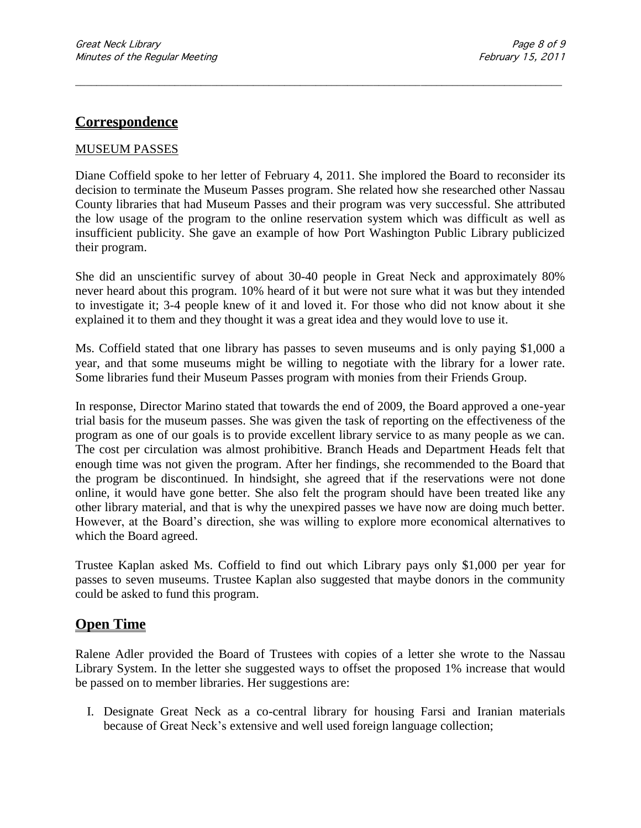### **Correspondence**

### MUSEUM PASSES

Diane Coffield spoke to her letter of February 4, 2011. She implored the Board to reconsider its decision to terminate the Museum Passes program. She related how she researched other Nassau County libraries that had Museum Passes and their program was very successful. She attributed the low usage of the program to the online reservation system which was difficult as well as insufficient publicity. She gave an example of how Port Washington Public Library publicized their program.

\_\_\_\_\_\_\_\_\_\_\_\_\_\_\_\_\_\_\_\_\_\_\_\_\_\_\_\_\_\_\_\_\_\_\_\_\_\_\_\_\_\_\_\_\_\_\_\_\_\_\_\_\_\_\_\_\_\_\_\_\_\_\_\_\_\_\_\_\_\_\_\_\_\_\_\_\_\_\_\_\_\_\_\_\_\_\_\_\_\_\_\_\_

She did an unscientific survey of about 30-40 people in Great Neck and approximately 80% never heard about this program. 10% heard of it but were not sure what it was but they intended to investigate it; 3-4 people knew of it and loved it. For those who did not know about it she explained it to them and they thought it was a great idea and they would love to use it.

Ms. Coffield stated that one library has passes to seven museums and is only paying \$1,000 a year, and that some museums might be willing to negotiate with the library for a lower rate. Some libraries fund their Museum Passes program with monies from their Friends Group.

In response, Director Marino stated that towards the end of 2009, the Board approved a one-year trial basis for the museum passes. She was given the task of reporting on the effectiveness of the program as one of our goals is to provide excellent library service to as many people as we can. The cost per circulation was almost prohibitive. Branch Heads and Department Heads felt that enough time was not given the program. After her findings, she recommended to the Board that the program be discontinued. In hindsight, she agreed that if the reservations were not done online, it would have gone better. She also felt the program should have been treated like any other library material, and that is why the unexpired passes we have now are doing much better. However, at the Board's direction, she was willing to explore more economical alternatives to which the Board agreed.

Trustee Kaplan asked Ms. Coffield to find out which Library pays only \$1,000 per year for passes to seven museums. Trustee Kaplan also suggested that maybe donors in the community could be asked to fund this program.

### **Open Time**

Ralene Adler provided the Board of Trustees with copies of a letter she wrote to the Nassau Library System. In the letter she suggested ways to offset the proposed 1% increase that would be passed on to member libraries. Her suggestions are:

I. Designate Great Neck as a co-central library for housing Farsi and Iranian materials because of Great Neck's extensive and well used foreign language collection;